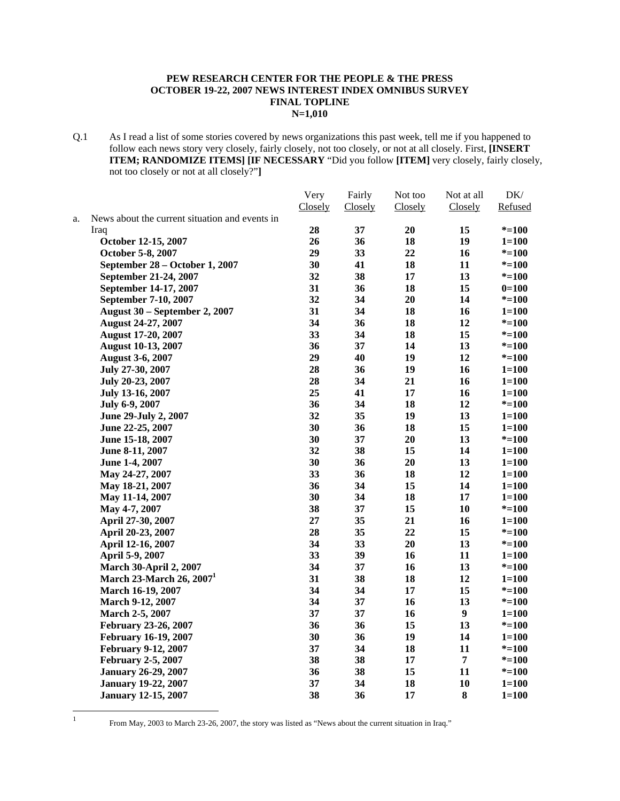### **PEW RESEARCH CENTER FOR THE PEOPLE & THE PRESS OCTOBER 19-22, 2007 NEWS INTEREST INDEX OMNIBUS SURVEY FINAL TOPLINE N=1,010**

Q.1 As I read a list of some stories covered by news organizations this past week, tell me if you happened to follow each news story very closely, fairly closely, not too closely, or not at all closely. First, **[INSERT ITEM; RANDOMIZE ITEMS] [IF NECESSARY** "Did you follow **[ITEM]** very closely, fairly closely, not too closely or not at all closely?"**]**

|    |                                                | Very    | Fairly  | Not too | Not at all       | DK/       |
|----|------------------------------------------------|---------|---------|---------|------------------|-----------|
|    |                                                | Closely | Closely | Closely | Closely          | Refused   |
| a. | News about the current situation and events in |         |         |         |                  |           |
|    | Iraq                                           | 28      | 37      | 20      | 15               | $* = 100$ |
|    | October 12-15, 2007                            | 26      | 36      | 18      | 19               | $1 = 100$ |
|    | October 5-8, 2007                              | 29      | 33      | 22      | 16               | $* = 100$ |
|    | September 28 – October 1, 2007                 | 30      | 41      | 18      | 11               | $* = 100$ |
|    | September 21-24, 2007                          | 32      | 38      | 17      | 13               | $* = 100$ |
|    | September 14-17, 2007                          | 31      | 36      | 18      | 15               | $0=100$   |
|    | September 7-10, 2007                           | 32      | 34      | 20      | 14               | $* = 100$ |
|    | <b>August 30 – September 2, 2007</b>           | 31      | 34      | 18      | 16               | $1 = 100$ |
|    | August 24-27, 2007                             | 34      | 36      | 18      | 12               | $* = 100$ |
|    | <b>August 17-20, 2007</b>                      | 33      | 34      | 18      | 15               | $* = 100$ |
|    | <b>August 10-13, 2007</b>                      | 36      | 37      | 14      | 13               | $* = 100$ |
|    | <b>August 3-6, 2007</b>                        | 29      | 40      | 19      | 12               | $* = 100$ |
|    | July 27-30, 2007                               | 28      | 36      | 19      | 16               | $1 = 100$ |
|    | July 20-23, 2007                               | 28      | 34      | 21      | 16               | $1 = 100$ |
|    | July 13-16, 2007                               | 25      | 41      | 17      | 16               | $1 = 100$ |
|    | July 6-9, 2007                                 | 36      | 34      | 18      | 12               | $* = 100$ |
|    | June 29-July 2, 2007                           | 32      | 35      | 19      | 13               | $1 = 100$ |
|    | June 22-25, 2007                               | 30      | 36      | 18      | 15               | $1 = 100$ |
|    | June 15-18, 2007                               | 30      | 37      | 20      | 13               | $* = 100$ |
|    | June 8-11, 2007                                | 32      | 38      | 15      | 14               | $1 = 100$ |
|    | June 1-4, 2007                                 | 30      | 36      | 20      | 13               | $1 = 100$ |
|    | May 24-27, 2007                                | 33      | 36      | 18      | 12               | $1 = 100$ |
|    | May 18-21, 2007                                | 36      | 34      | 15      | 14               | $1 = 100$ |
|    | May 11-14, 2007                                | 30      | 34      | 18      | 17               | $1 = 100$ |
|    | May 4-7, 2007                                  | 38      | 37      | 15      | 10               | $* = 100$ |
|    | April 27-30, 2007                              | 27      | 35      | 21      | 16               | $1 = 100$ |
|    | April 20-23, 2007                              | 28      | 35      | 22      | 15               | $* = 100$ |
|    | April 12-16, 2007                              | 34      | 33      | 20      | 13               | $* = 100$ |
|    | April 5-9, 2007                                | 33      | 39      | 16      | 11               | $1 = 100$ |
|    | <b>March 30-April 2, 2007</b>                  | 34      | 37      | 16      | 13               | $* = 100$ |
|    | March 23-March 26, 2007 <sup>1</sup>           | 31      | 38      | 18      | 12               | $1 = 100$ |
|    | March 16-19, 2007                              | 34      | 34      | 17      | 15               | $* = 100$ |
|    | <b>March 9-12, 2007</b>                        | 34      | 37      | 16      | 13               | $* = 100$ |
|    | March 2-5, 2007                                | 37      | 37      | 16      | $\boldsymbol{9}$ | $1 = 100$ |
|    | February 23-26, 2007                           | 36      | 36      | 15      | 13               | $* = 100$ |
|    | February 16-19, 2007                           | 30      | 36      | 19      | 14               | $1 = 100$ |
|    | <b>February 9-12, 2007</b>                     | 37      | 34      | 18      | 11               | $* = 100$ |
|    | <b>February 2-5, 2007</b>                      | 38      | 38      | 17      | $\overline{7}$   | $* = 100$ |
|    | <b>January 26-29, 2007</b>                     | 36      | 38      | 15      | 11               | $* = 100$ |
|    | <b>January 19-22, 2007</b>                     | 37      | 34      | 18      | 10               | $1 = 100$ |
|    | <b>January 12-15, 2007</b>                     | 38      | 36      | 17      | 8                | $1 = 100$ |
|    |                                                |         |         |         |                  |           |

 $\frac{1}{1}$ 

From May, 2003 to March 23-26, 2007, the story was listed as "News about the current situation in Iraq."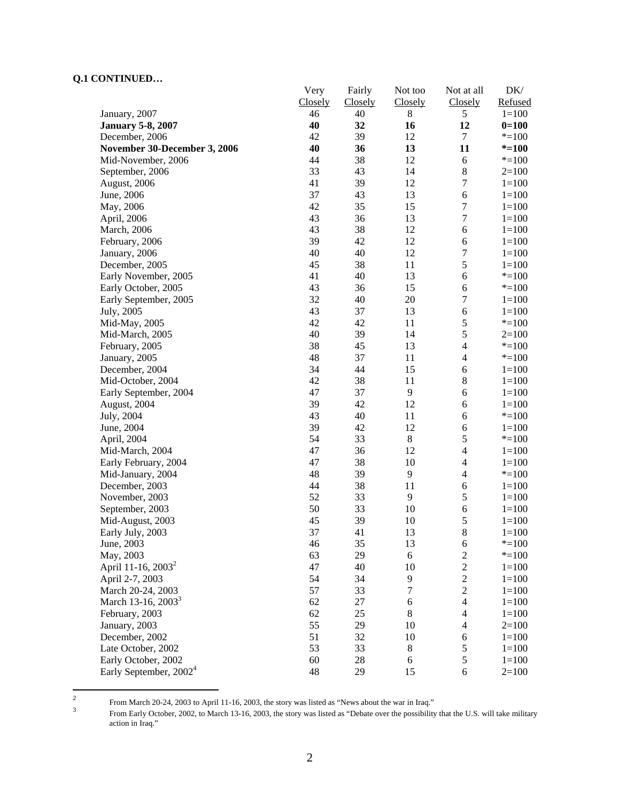|                                    | Very    | Fairly         | Not too | Not at all               | DK/       |
|------------------------------------|---------|----------------|---------|--------------------------|-----------|
|                                    | Closely | <b>Closely</b> | Closely | <b>Closely</b>           | Refused   |
| January, 2007                      | 46      | 40             | 8       | 5                        | $1 = 100$ |
| <b>January 5-8, 2007</b>           | 40      | 32             | 16      | 12                       | $0=100$   |
| December, 2006                     | 42      | 39             | 12      | $\boldsymbol{7}$         | $* = 100$ |
| November 30-December 3, 2006       | 40      | 36             | 13      | 11                       | $* = 100$ |
| Mid-November, 2006                 | 44      | 38             | 12      | 6                        | $* = 100$ |
| September, 2006                    | 33      | 43             | 14      | $\,8\,$                  | $2=100$   |
| August, 2006                       | 41      | 39             | 12      | 7                        | $1 = 100$ |
| June, 2006                         | 37      | 43             | 13      | 6                        | $1 = 100$ |
| May, 2006                          | 42      | 35             | 15      | $\boldsymbol{7}$         | $1 = 100$ |
| April, 2006                        | 43      | 36             | 13      | $\boldsymbol{7}$         | $1 = 100$ |
| March, 2006                        | 43      | 38             | 12      | 6                        | $1 = 100$ |
| February, 2006                     | 39      | 42             | 12      | $\sqrt{6}$               | $1 = 100$ |
| January, 2006                      | 40      | 40             | 12      | $\sqrt{ }$               | $1 = 100$ |
| December, 2005                     | 45      | 38             | 11      | 5                        | $1 = 100$ |
| Early November, 2005               | 41      | 40             | 13      | 6                        | $* = 100$ |
| Early October, 2005                | 43      | 36             | 15      | 6                        | $* = 100$ |
| Early September, 2005              | 32      | 40             | 20      | $\boldsymbol{7}$         | $1 = 100$ |
| July, 2005                         | 43      | 37             | 13      | 6                        | $1 = 100$ |
| Mid-May, 2005                      | 42      | 42             | 11      | 5                        | $* = 100$ |
| Mid-March, 2005                    | 40      | 39             | 14      | 5                        | $2=100$   |
| February, 2005                     | 38      | 45             | 13      | $\overline{4}$           | $* = 100$ |
| January, 2005                      | 48      | 37             | 11      | $\overline{4}$           | $* = 100$ |
| December, 2004                     | 34      | 44             | 15      | 6                        | $1 = 100$ |
| Mid-October, 2004                  | 42      | 38             | 11      | $\,8\,$                  | $1 = 100$ |
| Early September, 2004              | 47      | 37             | 9       | 6                        | $1 = 100$ |
| August, 2004                       | 39      | 42             | 12      | 6                        | $1 = 100$ |
| July, 2004                         | 43      | 40             | 11      | 6                        | $* = 100$ |
| June, 2004                         | 39      | 42             | 12      | 6                        | $1 = 100$ |
| April, 2004                        | 54      | 33             | $\,8\,$ | 5                        | $* = 100$ |
| Mid-March, 2004                    | 47      | 36             | 12      | $\overline{4}$           | $1 = 100$ |
| Early February, 2004               | 47      | 38             | 10      | $\overline{4}$           | $1 = 100$ |
| Mid-January, 2004                  | 48      | 39             | 9       | 4                        | $* = 100$ |
| December, 2003                     | 44      | 38             | 11      | 6                        | $1 = 100$ |
| November, 2003                     | 52      | 33             | 9       | 5                        | $1 = 100$ |
| September, 2003                    | 50      | 33             | 10      | 6                        | $1 = 100$ |
| Mid-August, 2003                   | 45      | 39             | 10      | 5                        | $1 = 100$ |
| Early July, 2003                   | 37      | 41             | 13      | 8                        | $1 = 100$ |
| June, 2003                         | 46      | 35             | 13      | 6                        | $* = 100$ |
| May, 2003                          | 63      | 29             | 6       | $\overline{c}$           | $* = 100$ |
| April 11-16, 2003 <sup>2</sup>     | 47      | 40             | 10      | $\sqrt{2}$               | $1 = 100$ |
| April 2-7, 2003                    | 54      | 34             | 9       | $\overline{2}$           | $1 = 100$ |
| March 20-24, 2003                  | 57      | 33             | $\tau$  | $\overline{c}$           | $1 = 100$ |
| March 13-16, 2003 <sup>3</sup>     | 62      | 27             | 6       | $\overline{\mathcal{L}}$ | $1 = 100$ |
| February, 2003                     | 62      | 25             | $\,8\,$ | 4                        | $1 = 100$ |
| January, 2003                      | 55      | 29             | 10      | $\overline{4}$           | $2=100$   |
| December, 2002                     | 51      | 32             | 10      | 6                        | $1 = 100$ |
| Late October, 2002                 | 53      | 33             | $\,8\,$ | 5                        | $1 = 100$ |
| Early October, 2002                | 60      | 28             | 6       | 5                        | $1 = 100$ |
| Early September, 2002 <sup>4</sup> | 48      | 29             | 15      | $\sqrt{6}$               | $2=100$   |
|                                    |         |                |         |                          |           |

 $\frac{1}{2}$ From March 20-24, 2003 to April 11-16, 2003, the story was listed as "News about the war in Iraq."  $\frac{3}{2}$  From Early October 2002, to March 13, 16, 2003, the story was listed as "Debate over the possibility

From Early October, 2002, to March 13-16, 2003, the story was listed as "Debate over the possibility that the U.S. will take military action in Iraq."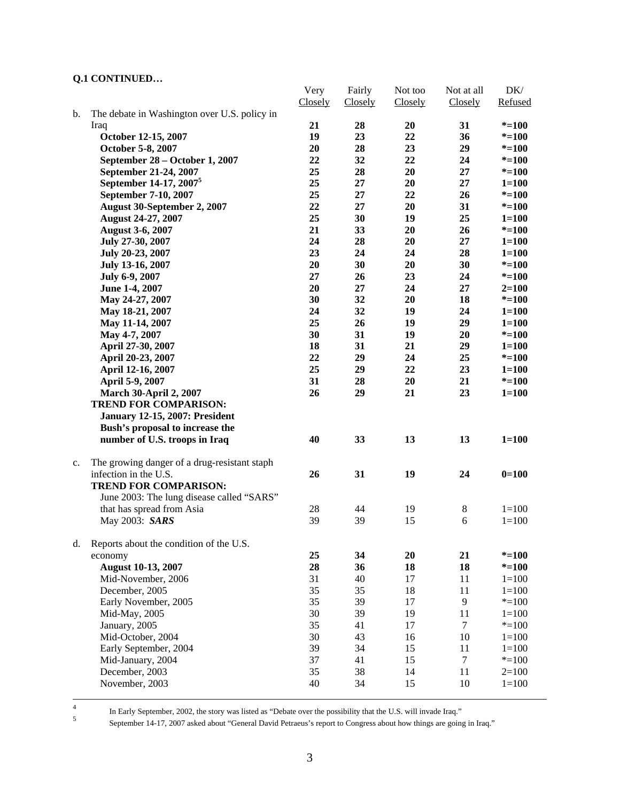|    |                                              | Very    | Fairly  | Not too  | Not at all | DK/       |
|----|----------------------------------------------|---------|---------|----------|------------|-----------|
|    |                                              | Closely | Closely | Closely  | Closely    | Refused   |
| b. | The debate in Washington over U.S. policy in |         |         |          |            |           |
|    | Iraq                                         | 21      | 28      | 20       | 31         | $* = 100$ |
|    | October 12-15, 2007                          | 19      | 23      | 22       | 36         | $* = 100$ |
|    | October 5-8, 2007                            | 20      | 28      | 23       | 29         | $* = 100$ |
|    | September 28 – October 1, 2007               | 22      | 32      | 22       | 24         | $* = 100$ |
|    | September 21-24, 2007                        | 25      | 28      | 20       | 27         | $* = 100$ |
|    | September 14-17, 2007 <sup>5</sup>           | 25      | 27      | 20       | 27         | $1 = 100$ |
|    | September 7-10, 2007                         | 25      | 27      | 22       | 26         | $* = 100$ |
|    | August 30-September 2, 2007                  | 22      | 27      | 20       | 31         | $* = 100$ |
|    | <b>August 24-27, 2007</b>                    | 25      | 30      | 19       | 25         | $1 = 100$ |
|    | <b>August 3-6, 2007</b>                      | 21      | 33      | 20       | 26         | $* = 100$ |
|    | July 27-30, 2007                             | 24      | 28      | 20       | 27         | $1 = 100$ |
|    | July 20-23, 2007                             | 23      | 24      | 24       | 28         | $1 = 100$ |
|    | July 13-16, 2007                             | 20      | 30      | 20       | 30         | $* = 100$ |
|    | July 6-9, 2007                               | 27      | 26      | 23       | 24         | $* = 100$ |
|    | June 1-4, 2007                               | 20      | 27      | 24       | 27         | $2 = 100$ |
|    | May 24-27, 2007                              | 30      | 32      | 20       | 18         | $* = 100$ |
|    | May 18-21, 2007                              | 24      | 32      | 19       | 24         | $1 = 100$ |
|    | May 11-14, 2007                              | 25      | 26      | 19       | 29         | $1 = 100$ |
|    | May 4-7, 2007                                | 30      | 31      | 19       | 20         | $* = 100$ |
|    | April 27-30, 2007                            | 18      | 31      | 21       | 29         | $1 = 100$ |
|    | April 20-23, 2007                            | 22      | 29      | 24       | 25         | $* = 100$ |
|    | April 12-16, 2007                            | 25      | 29      | 22       | 23         | $1 = 100$ |
|    | April 5-9, 2007                              | 31      | 28      | 20       | 21         | $* = 100$ |
|    | <b>March 30-April 2, 2007</b>                | 26      | 29      | 21       | 23         | $1 = 100$ |
|    | <b>TREND FOR COMPARISON:</b>                 |         |         |          |            |           |
|    | <b>January 12-15, 2007: President</b>        |         |         |          |            |           |
|    | Bush's proposal to increase the              |         |         |          |            |           |
|    | number of U.S. troops in Iraq                | 40      | 33      | 13       | 13         | $1 = 100$ |
|    |                                              |         |         |          |            |           |
| c. | The growing danger of a drug-resistant staph |         |         |          |            |           |
|    | infection in the U.S.                        | 26      | 31      | 19       | 24         | $0=100$   |
|    | <b>TREND FOR COMPARISON:</b>                 |         |         |          |            |           |
|    | June 2003: The lung disease called "SARS"    |         |         |          |            |           |
|    | that has spread from Asia                    | $28\,$  | 44      | 19       | $\,8\,$    | $1 = 100$ |
|    | May 2003: SARS                               | 39      | 39      | 15       | 6          | $1 = 100$ |
| d. | Reports about the condition of the U.S.      |         |         |          |            |           |
|    | economy                                      | 25      | 34      | 20       | 21         | $* = 100$ |
|    | <b>August 10-13, 2007</b>                    | 28      | 36      | 18       | 18         | $* = 100$ |
|    | Mid-November, 2006                           | 31      | 40      | 17       | 11         | $1 = 100$ |
|    | December, 2005                               | 35      | 35      | 18       | 11         | $1 = 100$ |
|    | Early November, 2005                         | 35      | 39      | 17       | 9          | $* = 100$ |
|    | Mid-May, 2005                                | 30      | 39      | 19       | 11         | $1 = 100$ |
|    | January, 2005                                | 35      | 41      | 17       | $\tau$     | $* = 100$ |
|    | Mid-October, 2004                            | 30      | 43      | 16       | 10         | $1 = 100$ |
|    |                                              | 39      | 34      | 15       | 11         | $1 = 100$ |
|    | Early September, 2004                        | 37      | 41      |          | $\tau$     |           |
|    | Mid-January, 2004                            | 35      | 38      | 15<br>14 | 11         | $* = 100$ |
|    | December, 2003                               |         |         |          |            | $2=100$   |
|    | November, 2003                               | 40      | 34      | 15       | 10         | $1 = 100$ |
|    |                                              |         |         |          |            |           |

In Early September, 2002, the story was listed as "Debate over the possibility that the U.S. will invade Iraq."<br>September 14.17, 2007 select the U.S. will Betracus's generate Concernse about hour things are going

September 14-17, 2007 asked about "General David Petraeus's report to Congress about how things are going in Iraq."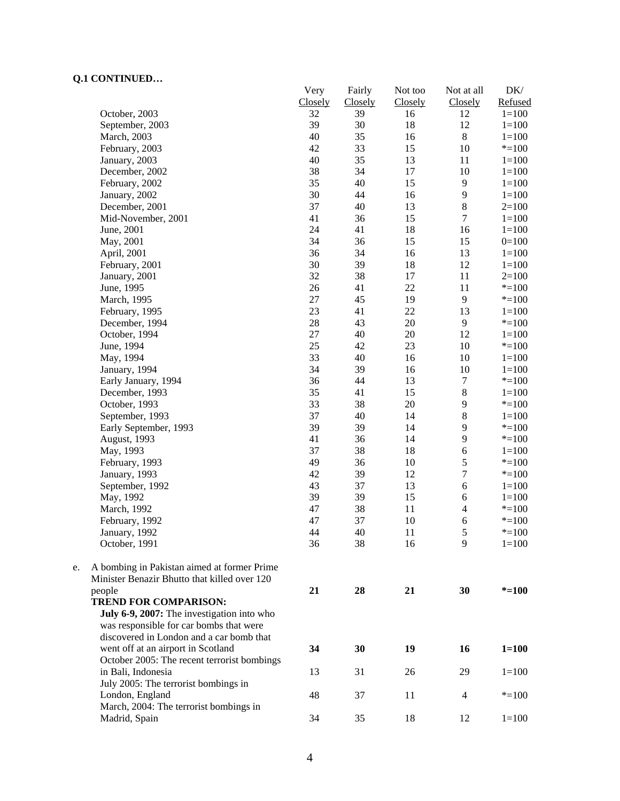|    | CORTER CED                                   | Very    | Fairly  | Not too | Not at all              | DK/       |
|----|----------------------------------------------|---------|---------|---------|-------------------------|-----------|
|    |                                              | Closely | Closely | Closely | Closely                 | Refused   |
|    | October, 2003                                | 32      | 39      | 16      | 12                      | $1 = 100$ |
|    | September, 2003                              | 39      | 30      | 18      | 12                      | $1 = 100$ |
|    | March, 2003                                  | 40      | 35      | 16      | $\,8\,$                 | $1 = 100$ |
|    | February, 2003                               | 42      | 33      | 15      | 10                      | $* = 100$ |
|    | January, 2003                                | 40      | 35      | 13      | 11                      | $1 = 100$ |
|    | December, 2002                               | 38      | 34      | 17      | 10                      | $1 = 100$ |
|    | February, 2002                               | 35      | 40      | 15      | $\overline{9}$          | $1 = 100$ |
|    | January, 2002                                | 30      | 44      | 16      | 9                       | $1 = 100$ |
|    | December, 2001                               | 37      | 40      | 13      | $8\,$                   | $2=100$   |
|    | Mid-November, 2001                           | 41      | 36      | 15      | $\overline{7}$          | $1 = 100$ |
|    | June, 2001                                   | 24      | 41      | 18      | 16                      | $1 = 100$ |
|    | May, 2001                                    | 34      | 36      | 15      | 15                      | $0=100$   |
|    | April, 2001                                  | 36      | 34      | 16      | 13                      | $1 = 100$ |
|    | February, 2001                               | 30      | 39      | 18      | 12                      | $1 = 100$ |
|    | January, 2001                                | 32      | 38      | 17      | 11                      | $2=100$   |
|    | June, 1995                                   | 26      | 41      | 22      | 11                      | $* = 100$ |
|    | March, 1995                                  | $27\,$  | 45      | 19      | 9                       | $* = 100$ |
|    | February, 1995                               | 23      | 41      | 22      | 13                      | $1 = 100$ |
|    | December, 1994                               | 28      | 43      | $20\,$  | 9                       | $* = 100$ |
|    | October, 1994                                | $27\,$  | 40      | $20\,$  | 12                      | $1 = 100$ |
|    | June, 1994                                   | 25      | 42      | 23      | 10                      | $* = 100$ |
|    | May, 1994                                    | 33      | 40      | 16      | 10                      | $1 = 100$ |
|    | January, 1994                                | 34      | 39      | 16      | 10                      | $1 = 100$ |
|    | Early January, 1994                          | 36      | 44      | 13      | 7                       | $* = 100$ |
|    | December, 1993                               | 35      | 41      | 15      | $8\,$                   | $1 = 100$ |
|    | October, 1993                                | 33      | 38      | $20\,$  | 9                       | $* = 100$ |
|    | September, 1993                              | 37      | 40      | 14      | $8\,$                   | $1 = 100$ |
|    | Early September, 1993                        | 39      | 39      | 14      | 9                       | $* = 100$ |
|    | August, 1993                                 | 41      | 36      | 14      | 9                       | $* = 100$ |
|    |                                              | 37      | 38      | 18      | 6                       | $1 = 100$ |
|    | May, 1993                                    | 49      |         |         | 5                       |           |
|    | February, 1993                               |         | 36      | 10      | $\tau$                  | $* = 100$ |
|    | January, 1993                                | 42      | 39      | 12      |                         | $* = 100$ |
|    | September, 1992                              | 43      | 37      | 13      | $\epsilon$              | $1 = 100$ |
|    | May, 1992                                    | 39      | 39      | 15      | 6                       | $1 = 100$ |
|    | March, 1992                                  | 47      | 38      | 11      | $\overline{\mathbf{4}}$ | $* = 100$ |
|    | February, 1992                               | 47      | 37      | $10\,$  | 6                       | $* = 100$ |
|    | January, 1992                                | 44      | 40      | 11      | 5                       | $* = 100$ |
|    | October, 1991                                | 36      | 38      | 16      | 9                       | $1 = 100$ |
| e. | A bombing in Pakistan aimed at former Prime  |         |         |         |                         |           |
|    | Minister Benazir Bhutto that killed over 120 |         |         |         |                         |           |
|    | people                                       | 21      | 28      | 21      | 30                      | $* = 100$ |
|    | <b>TREND FOR COMPARISON:</b>                 |         |         |         |                         |           |
|    | July 6-9, 2007: The investigation into who   |         |         |         |                         |           |
|    | was responsible for car bombs that were      |         |         |         |                         |           |
|    | discovered in London and a car bomb that     |         |         |         |                         |           |
|    | went off at an airport in Scotland           | 34      | 30      | 19      | 16                      | $1 = 100$ |
|    | October 2005: The recent terrorist bombings  |         |         |         |                         |           |
|    | in Bali, Indonesia                           | 13      | 31      | 26      | 29                      | $1 = 100$ |
|    | July 2005: The terrorist bombings in         |         |         |         |                         |           |
|    |                                              | 48      |         |         |                         |           |
|    | London, England                              |         | 37      | 11      | 4                       | $* = 100$ |
|    | March, 2004: The terrorist bombings in       |         |         |         |                         |           |
|    | Madrid, Spain                                | 34      | 35      | 18      | 12                      | $1 = 100$ |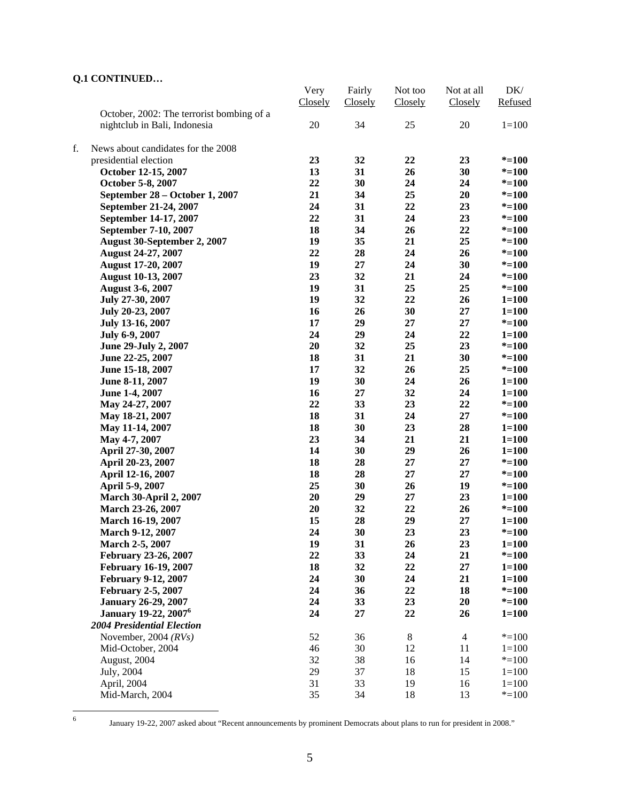|    |                                           | Very    | Fairly  | Not too | Not at all     | DK/       |
|----|-------------------------------------------|---------|---------|---------|----------------|-----------|
|    |                                           | Closely | Closely | Closely | Closely        | Refused   |
|    | October, 2002: The terrorist bombing of a |         |         |         |                |           |
|    | nightclub in Bali, Indonesia              | 20      | 34      | 25      | 20             | $1 = 100$ |
|    |                                           |         |         |         |                |           |
| f. | News about candidates for the 2008        |         |         |         |                |           |
|    | presidential election                     | 23      | 32      | 22      | 23             | $* = 100$ |
|    | October 12-15, 2007                       | 13      | 31      | 26      | 30             | $* = 100$ |
|    | October 5-8, 2007                         | 22      | 30      | 24      | 24             | $* = 100$ |
|    | September 28 – October 1, 2007            | 21      | 34      | 25      | 20             | $* = 100$ |
|    | September 21-24, 2007                     | 24      | 31      | 22      | 23             | $* = 100$ |
|    | September 14-17, 2007                     | 22      | 31      | 24      | 23             | $* = 100$ |
|    | September 7-10, 2007                      | 18      | 34      | 26      | 22             | $* = 100$ |
|    | August 30-September 2, 2007               | 19      | 35      | 21      | 25             | $* = 100$ |
|    | <b>August 24-27, 2007</b>                 | 22      | 28      | 24      | 26             | $* = 100$ |
|    | <b>August 17-20, 2007</b>                 | 19      | 27      | 24      | 30             | $* = 100$ |
|    | <b>August 10-13, 2007</b>                 | 23      | 32      | 21      | 24             | $* = 100$ |
|    | <b>August 3-6, 2007</b>                   | 19      | 31      | 25      | 25             | $* = 100$ |
|    | July 27-30, 2007                          | 19      | 32      | 22      | 26             | $1 = 100$ |
|    | July 20-23, 2007                          | 16      | 26      | 30      | 27             | $1 = 100$ |
|    | July 13-16, 2007                          | 17      | 29      | 27      | 27             | $* = 100$ |
|    | July 6-9, 2007                            | 24      | 29      | 24      | 22             | $1 = 100$ |
|    | June 29-July 2, 2007                      | 20      | 32      | 25      | 23             | $* = 100$ |
|    | June 22-25, 2007                          | 18      | 31      | 21      | 30             | $* = 100$ |
|    | June 15-18, 2007                          | 17      | 32      | 26      | 25             | $* = 100$ |
|    | June 8-11, 2007                           | 19      | 30      | 24      | 26             | $1 = 100$ |
|    |                                           | 16      | 27      | 32      | 24             | $1 = 100$ |
|    | June 1-4, 2007                            | 22      | 33      | 23      | 22             | $* = 100$ |
|    | May 24-27, 2007                           |         |         |         |                |           |
|    | May 18-21, 2007                           | 18      | 31      | 24      | 27             | $* = 100$ |
|    | May 11-14, 2007                           | 18      | 30      | 23      | 28             | $1 = 100$ |
|    | May 4-7, 2007                             | 23      | 34      | 21      | 21             | $1 = 100$ |
|    | April 27-30, 2007                         | 14      | 30      | 29      | 26             | $1 = 100$ |
|    | April 20-23, 2007                         | 18      | 28      | 27      | 27             | $* = 100$ |
|    | April 12-16, 2007                         | 18      | 28      | 27      | 27             | $* = 100$ |
|    | April 5-9, 2007                           | 25      | 30      | 26      | 19             | $* = 100$ |
|    | <b>March 30-April 2, 2007</b>             | 20      | 29      | 27      | 23             | $1 = 100$ |
|    | March 23-26, 2007                         | 20      | 32      | 22      | 26             | $* = 100$ |
|    | March 16-19, 2007                         | 15      | 28      | 29      | 27             | $1 = 100$ |
|    | <b>March 9-12, 2007</b>                   | 24      | 30      | 23      | 23             | $* = 100$ |
|    | <b>March 2-5, 2007</b>                    | 19      | 31      | 26      | 23             | $1 = 100$ |
|    | February 23-26, 2007                      | 22      | 33      | 24      | 21             | $* = 100$ |
|    | <b>February 16-19, 2007</b>               | 18      | 32      | 22      | 27             | $1 = 100$ |
|    | <b>February 9-12, 2007</b>                | 24      | 30      | 24      | 21             | $1 = 100$ |
|    | <b>February 2-5, 2007</b>                 | 24      | 36      | 22      | 18             | $* = 100$ |
|    | <b>January 26-29, 2007</b>                | 24      | 33      | 23      | 20             | $* = 100$ |
|    | <b>January 19-22, 2007<sup>6</sup></b>    | 24      | 27      | 22      | 26             | $1 = 100$ |
|    | <b>2004 Presidential Election</b>         |         |         |         |                |           |
|    | November, 2004 $(RVs)$                    | 52      | 36      | 8       | $\overline{4}$ | $* = 100$ |
|    | Mid-October, 2004                         | 46      | 30      | 12      | 11             | $1 = 100$ |
|    | August, 2004                              | 32      | 38      | 16      | 14             | $* = 100$ |
|    | July, 2004                                | 29      | 37      | 18      | 15             | $1 = 100$ |
|    | April, 2004                               | 31      | 33      | 19      | 16             | $1 = 100$ |
|    | Mid-March, 2004                           | 35      | 34      | 18      | 13             | $* = 100$ |

6

January 19-22, 2007 asked about "Recent announcements by prominent Democrats about plans to run for president in 2008."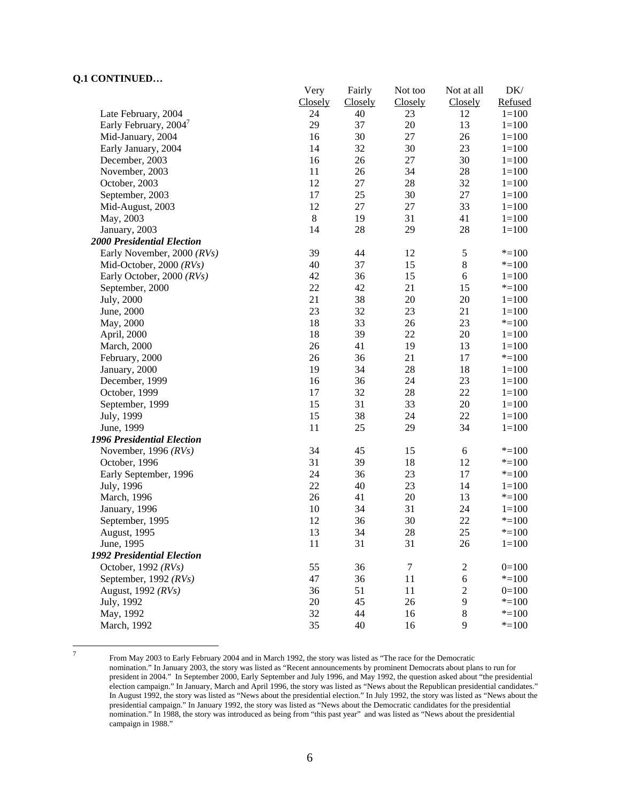|                                   | Very        | Fairly  | Not too | Not at all     | DK/       |
|-----------------------------------|-------------|---------|---------|----------------|-----------|
|                                   | Closely     | Closely | Closely | Closely        | Refused   |
| Late February, 2004               | 24          | 40      | 23      | 12             | $1 = 100$ |
| Early February, 2004              | 29          | 37      | 20      | 13             | $1 = 100$ |
| Mid-January, 2004                 | 16          | 30      | 27      | 26             | $1 = 100$ |
| Early January, 2004               | 14          | 32      | 30      | 23             | $1 = 100$ |
| December, 2003                    | 16          | 26      | $27\,$  | 30             | $1 = 100$ |
| November, 2003                    | 11          | 26      | 34      | 28             | $1 = 100$ |
| October, 2003                     | 12          | $27\,$  | 28      | 32             | $1 = 100$ |
| September, 2003                   | 17          | 25      | 30      | 27             | $1 = 100$ |
| Mid-August, 2003                  | 12          | $27\,$  | 27      | 33             | $1 = 100$ |
| May, 2003                         | $\,$ 8 $\,$ | 19      | 31      | 41             | $1 = 100$ |
| January, 2003                     | 14          | 28      | 29      | 28             | $1 = 100$ |
| <b>2000 Presidential Election</b> |             |         |         |                |           |
| Early November, 2000 (RVs)        | 39          | 44      | 12      | $\mathfrak s$  | $* = 100$ |
| Mid-October, 2000 $(RVs)$         | 40          | 37      | 15      | $8\,$          | $* = 100$ |
| Early October, 2000 (RVs)         | 42          | 36      | 15      | 6              | $1 = 100$ |
| September, 2000                   | 22          | 42      | 21      | 15             | $* = 100$ |
| July, 2000                        | 21          | 38      | 20      | 20             | $1 = 100$ |
| June, 2000                        | 23          | 32      | 23      | 21             | $1 = 100$ |
| May, 2000                         | 18          | 33      | 26      | 23             | $* = 100$ |
| April, 2000                       | 18          | 39      | 22      | 20             | $1 = 100$ |
| March, 2000                       | 26          | 41      | 19      | 13             | $1 = 100$ |
| February, 2000                    | 26          | 36      | 21      | 17             | $* = 100$ |
| January, 2000                     | 19          | 34      | 28      | 18             | $1 = 100$ |
| December, 1999                    | 16          | 36      | 24      | 23             | $1 = 100$ |
| October, 1999                     | 17          | 32      | 28      | 22             | $1 = 100$ |
| September, 1999                   | 15          | 31      | 33      | 20             | $1 = 100$ |
| July, 1999                        | 15          | 38      | 24      | 22             | $1 = 100$ |
| June, 1999                        | 11          | 25      | 29      | 34             | $1 = 100$ |
| 1996 Presidential Election        |             |         |         |                |           |
| November, 1996 $(RVs)$            | 34          | 45      | 15      | 6              | $* = 100$ |
| October, 1996                     | 31          | 39      | 18      | 12             | $* = 100$ |
| Early September, 1996             | 24          | 36      | 23      | 17             | $* = 100$ |
| July, 1996                        | 22          | 40      | 23      | 14             | $1 = 100$ |
| March, 1996                       | 26          | 41      | 20      | 13             | $* = 100$ |
| January, 1996                     | 10          | 34      | 31      | 24             | $1 = 100$ |
| September, 1995                   | 12          | 36      | 30      | 22             | $* = 100$ |
| August, 1995                      | 13          | 34      | 28      | 25             | $* = 100$ |
| June, 1995                        | 11          | 31      | 31      | 26             | $1 = 100$ |
| 1992 Presidential Election        |             |         |         |                |           |
| October, 1992 (RVs)               | 55          | 36      | $\tau$  | $\overline{c}$ | $0=100$   |
| September, 1992 $(RVs)$           | 47          | 36      | 11      | 6              | $* = 100$ |
| August, 1992 (RVs)                | 36          | 51      | 11      | $\overline{c}$ | $0=100$   |
| July, 1992                        | 20          | 45      | 26      | 9              | $* = 100$ |
| May, 1992                         | 32          | 44      | 16      | $8\,$          | $* = 100$ |
| March, 1992                       | 35          | 40      | 16      | 9              | $* = 100$ |
|                                   |             |         |         |                |           |

-<br>7

 From May 2003 to Early February 2004 and in March 1992, the story was listed as "The race for the Democratic nomination." In January 2003, the story was listed as "Recent announcements by prominent Democrats about plans to run for president in 2004." In September 2000, Early September and July 1996, and May 1992, the question asked about "the presidential election campaign." In January, March and April 1996, the story was listed as "News about the Republican presidential candidates." In August 1992, the story was listed as "News about the presidential election." In July 1992, the story was listed as "News about the presidential campaign." In January 1992, the story was listed as "News about the Democratic candidates for the presidential nomination." In 1988, the story was introduced as being from "this past year" and was listed as "News about the presidential campaign in 1988."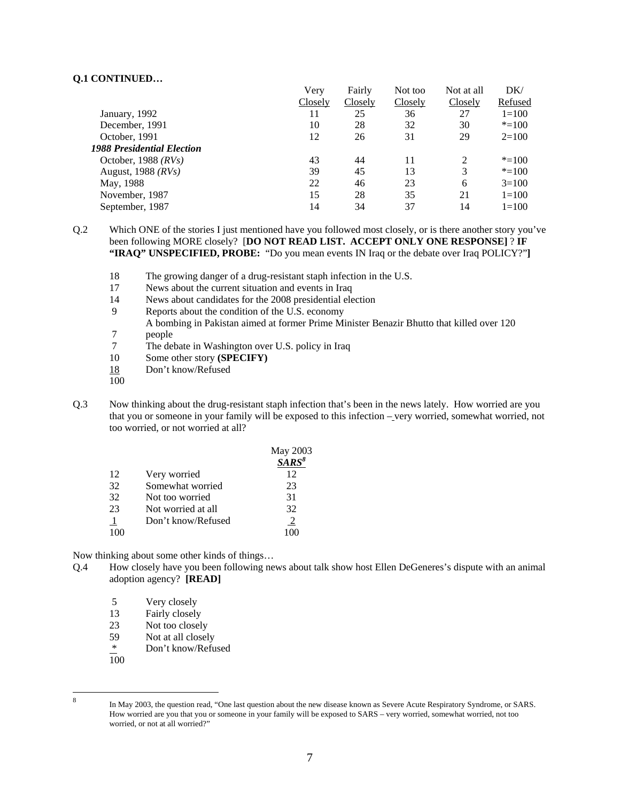|                                   | Very    | Fairly  | Not too | Not at all     | DK/       |
|-----------------------------------|---------|---------|---------|----------------|-----------|
|                                   | Closely | Closely | Closely | Closely        | Refused   |
| January, 1992                     | 11      | 25      | 36      | 27             | $1=100$   |
| December, 1991                    | 10      | 28      | 32      | 30             | $* = 100$ |
| October, 1991                     | 12      | 26      | 31      | 29             | $2=100$   |
| <b>1988 Presidential Election</b> |         |         |         |                |           |
| October, 1988 $(RVs)$             | 43      | 44      | 11      | $\mathfrak{D}$ | $* = 100$ |
| August, $1988$ ( $RVs$ )          | 39      | 45      | 13      | 3              | $* = 100$ |
| May, 1988                         | 22      | 46      | 23      | 6              | $3=100$   |
| November, 1987                    | 15      | 28      | 35      | 21             | $1=100$   |
| September, 1987                   | 14      | 34      | 37      | 14             | $1=100$   |

Q.2 Which ONE of the stories I just mentioned have you followed most closely, or is there another story you've been following MORE closely? [**DO NOT READ LIST. ACCEPT ONLY ONE RESPONSE]** ? **IF "IRAQ" UNSPECIFIED, PROBE:** "Do you mean events IN Iraq or the debate over Iraq POLICY?"**]**

- 18 The growing danger of a drug-resistant staph infection in the U.S.
- 17 News about the current situation and events in Iraq
- 14 News about candidates for the 2008 presidential election
- 9 Reports about the condition of the U.S. economy
	- A bombing in Pakistan aimed at former Prime Minister Benazir Bhutto that killed over 120
- 7 people<br>7 The del
- 7 The debate in Washington over U.S. policy in Iraq<br>10 Some other story (SPECIFY)
- Some other story **(SPECIFY)**
- 18 Don't know/Refused
- 100
- Q.3 Now thinking about the drug-resistant staph infection that's been in the news lately. How worried are you that you or someone in your family will be exposed to this infection – very worried, somewhat worried, not too worried, or not worried at all?

|    |                    | May 2003 |
|----|--------------------|----------|
|    |                    | $SARS^8$ |
| 12 | Very worried       | 12       |
| 32 | Somewhat worried   | 23       |
| 32 | Not too worried    | 31       |
| 23 | Not worried at all | 32       |
|    | Don't know/Refused | 2        |
|    |                    |          |

Now thinking about some other kinds of things…

- Q.4 How closely have you been following news about talk show host Ellen DeGeneres's dispute with an animal adoption agency? **[READ]**
	- 5 Very closely
	- 13 Fairly closely
	- 23 Not too closely<br>59 Not at all closel
	- Not at all closely
	- \* Don't know/Refused
	- $\overline{100}$

8

In May 2003, the question read, "One last question about the new disease known as Severe Acute Respiratory Syndrome, or SARS. How worried are you that you or someone in your family will be exposed to SARS – very worried, somewhat worried, not too worried, or not at all worried?"